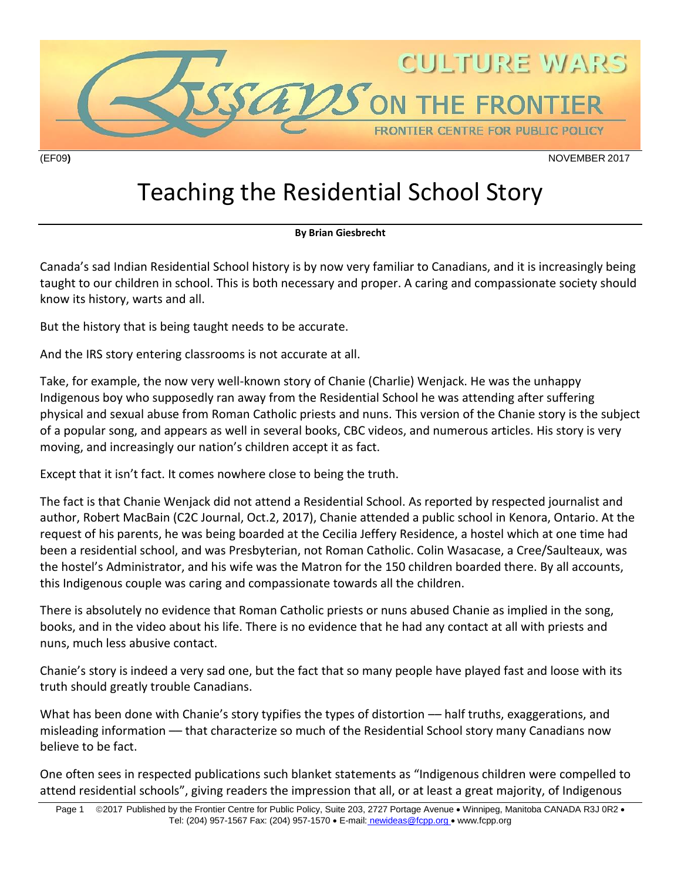

Teaching the Residential School Story

## **By Brian Giesbrecht**

Canada's sad Indian Residential School history is by now very familiar to Canadians, and it is increasingly being taught to our children in school. This is both necessary and proper. A caring and compassionate society should know its history, warts and all.

But the history that is being taught needs to be accurate.

And the IRS story entering classrooms is not accurate at all.

Take, for example, the now very well-known story of Chanie (Charlie) Wenjack. He was the unhappy Indigenous boy who supposedly ran away from the Residential School he was attending after suffering physical and sexual abuse from Roman Catholic priests and nuns. This version of the Chanie story is the subject of a popular song, and appears as well in several books, CBC videos, and numerous articles. His story is very moving, and increasingly our nation's children accept it as fact.

Except that it isn't fact. It comes nowhere close to being the truth.

The fact is that Chanie Wenjack did not attend a Residential School. As reported by respected journalist and author, Robert MacBain (C2C Journal, Oct.2, 2017), Chanie attended a public school in Kenora, Ontario. At the request of his parents, he was being boarded at the Cecilia Jeffery Residence, a hostel which at one time had been a residential school, and was Presbyterian, not Roman Catholic. Colin Wasacase, a Cree/Saulteaux, was the hostel's Administrator, and his wife was the Matron for the 150 children boarded there. By all accounts, this Indigenous couple was caring and compassionate towards all the children.

There is absolutely no evidence that Roman Catholic priests or nuns abused Chanie as implied in the song, books, and in the video about his life. There is no evidence that he had any contact at all with priests and nuns, much less abusive contact.

Chanie's story is indeed a very sad one, but the fact that so many people have played fast and loose with its truth should greatly trouble Canadians.

What has been done with Chanie's story typifies the types of distortion — half truths, exaggerations, and misleading information –– that characterize so much of the Residential School story many Canadians now believe to be fact.

One often sees in respected publications such blanket statements as "Indigenous children were compelled to attend residential schools", giving readers the impression that all, or at least a great majority, of Indigenous

Page 1 © 2017 Published by the Frontier Centre for Public Policy, Suite 203, 2727 Portage Avenue • Winnipeg, Manitoba CANADA R3J 0R2 • Tel: (204) 957-1567 Fax: (204) 957-1570 • E-mail: newideas@fcpp.org • www.fcpp.org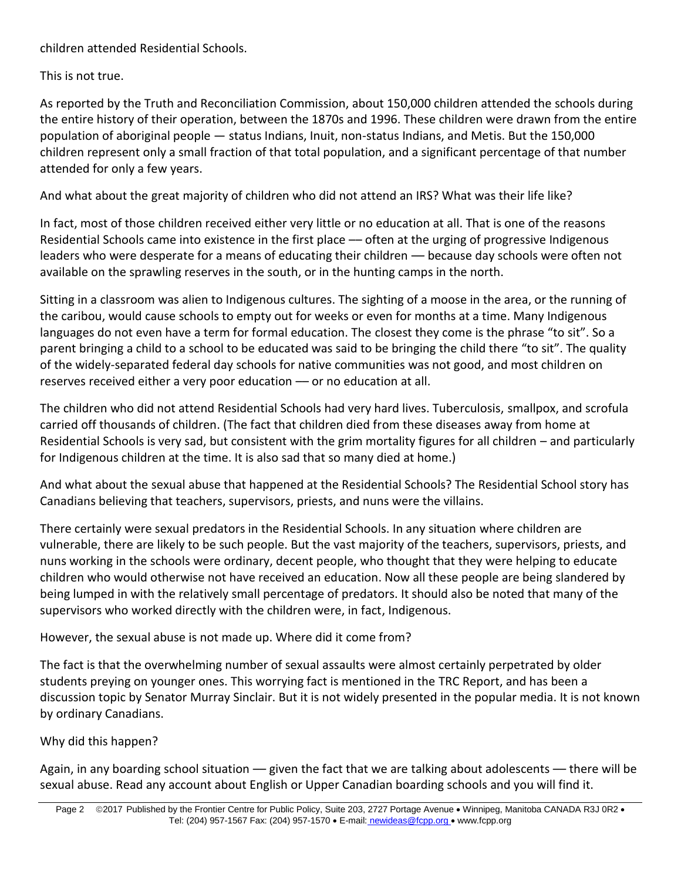children attended Residential Schools.

This is not true.

As reported by the Truth and Reconciliation Commission, about 150,000 children attended the schools during the entire history of their operation, between the 1870s and 1996. These children were drawn from the entire population of aboriginal people — status Indians, Inuit, non-status Indians, and Metis. But the 150,000 children represent only a small fraction of that total population, and a significant percentage of that number attended for only a few years.

And what about the great majority of children who did not attend an IRS? What was their life like?

In fact, most of those children received either very little or no education at all. That is one of the reasons Residential Schools came into existence in the first place — often at the urging of progressive Indigenous leaders who were desperate for a means of educating their children — because day schools were often not available on the sprawling reserves in the south, or in the hunting camps in the north.

Sitting in a classroom was alien to Indigenous cultures. The sighting of a moose in the area, or the running of the caribou, would cause schools to empty out for weeks or even for months at a time. Many Indigenous languages do not even have a term for formal education. The closest they come is the phrase "to sit". So a parent bringing a child to a school to be educated was said to be bringing the child there "to sit". The quality of the widely-separated federal day schools for native communities was not good, and most children on reserves received either a very poor education - or no education at all.

The children who did not attend Residential Schools had very hard lives. Tuberculosis, smallpox, and scrofula carried off thousands of children. (The fact that children died from these diseases away from home at Residential Schools is very sad, but consistent with the grim mortality figures for all children – and particularly for Indigenous children at the time. It is also sad that so many died at home.)

And what about the sexual abuse that happened at the Residential Schools? The Residential School story has Canadians believing that teachers, supervisors, priests, and nuns were the villains.

There certainly were sexual predators in the Residential Schools. In any situation where children are vulnerable, there are likely to be such people. But the vast majority of the teachers, supervisors, priests, and nuns working in the schools were ordinary, decent people, who thought that they were helping to educate children who would otherwise not have received an education. Now all these people are being slandered by being lumped in with the relatively small percentage of predators. It should also be noted that many of the supervisors who worked directly with the children were, in fact, Indigenous.

## However, the sexual abuse is not made up. Where did it come from?

The fact is that the overwhelming number of sexual assaults were almost certainly perpetrated by older students preying on younger ones. This worrying fact is mentioned in the TRC Report, and has been a discussion topic by Senator Murray Sinclair. But it is not widely presented in the popular media. It is not known by ordinary Canadians.

## Why did this happen?

Again, in any boarding school situation — given the fact that we are talking about adolescents — there will be sexual abuse. Read any account about English or Upper Canadian boarding schools and you will find it.

Page 2 © 2017 Published by the Frontier Centre for Public Policy, Suite 203, 2727 Portage Avenue • Winnipeg, Manitoba CANADA R3J 0R2 • Tel: (204) 957-1567 Fax: (204) 957-1570 • E-mail: newideas@fcpp.org • www.fcpp.org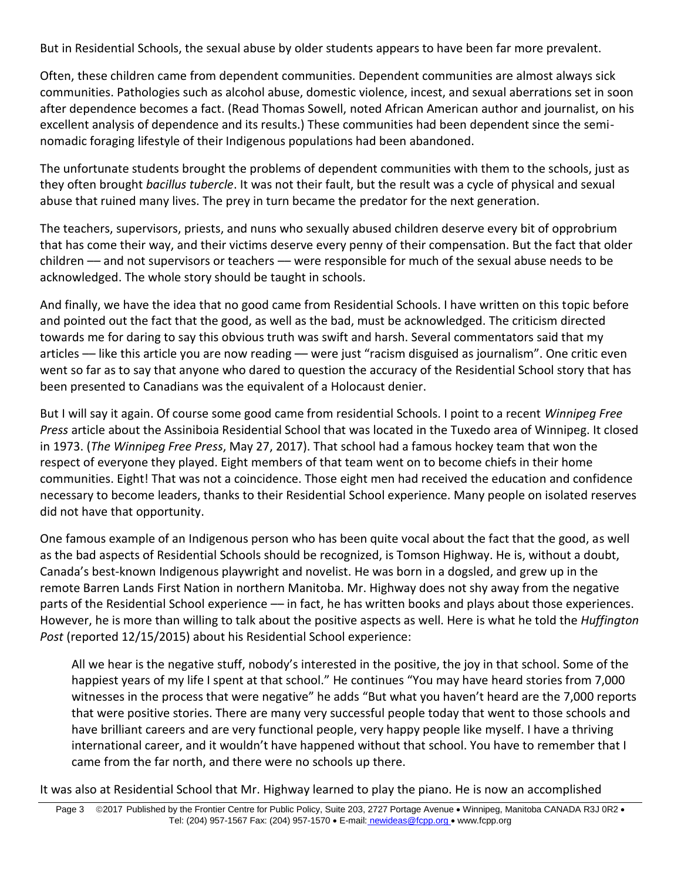But in Residential Schools, the sexual abuse by older students appears to have been far more prevalent.

Often, these children came from dependent communities. Dependent communities are almost always sick communities. Pathologies such as alcohol abuse, domestic violence, incest, and sexual aberrations set in soon after dependence becomes a fact. (Read Thomas Sowell, noted African American author and journalist, on his excellent analysis of dependence and its results.) These communities had been dependent since the seminomadic foraging lifestyle of their Indigenous populations had been abandoned.

The unfortunate students brought the problems of dependent communities with them to the schools, just as they often brought *bacillus tubercle*. It was not their fault, but the result was a cycle of physical and sexual abuse that ruined many lives. The prey in turn became the predator for the next generation.

The teachers, supervisors, priests, and nuns who sexually abused children deserve every bit of opprobrium that has come their way, and their victims deserve every penny of their compensation. But the fact that older children –– and not supervisors or teachers –– were responsible for much of the sexual abuse needs to be acknowledged. The whole story should be taught in schools.

And finally, we have the idea that no good came from Residential Schools. I have written on this topic before and pointed out the fact that the good, as well as the bad, must be acknowledged. The criticism directed towards me for daring to say this obvious truth was swift and harsh. Several commentators said that my articles — like this article you are now reading — were just "racism disguised as journalism". One critic even went so far as to say that anyone who dared to question the accuracy of the Residential School story that has been presented to Canadians was the equivalent of a Holocaust denier.

But I will say it again. Of course some good came from residential Schools. I point to a recent *Winnipeg Free Press* article about the Assiniboia Residential School that was located in the Tuxedo area of Winnipeg. It closed in 1973. (*The Winnipeg Free Press*, May 27, 2017). That school had a famous hockey team that won the respect of everyone they played. Eight members of that team went on to become chiefs in their home communities. Eight! That was not a coincidence. Those eight men had received the education and confidence necessary to become leaders, thanks to their Residential School experience. Many people on isolated reserves did not have that opportunity.

One famous example of an Indigenous person who has been quite vocal about the fact that the good, as well as the bad aspects of Residential Schools should be recognized, is Tomson Highway. He is, without a doubt, Canada's best-known Indigenous playwright and novelist. He was born in a dogsled, and grew up in the remote Barren Lands First Nation in northern Manitoba. Mr. Highway does not shy away from the negative parts of the Residential School experience –– in fact, he has written books and plays about those experiences. However, he is more than willing to talk about the positive aspects as well. Here is what he told the *Huffington Post* (reported 12/15/2015) about his Residential School experience:

All we hear is the negative stuff, nobody's interested in the positive, the joy in that school. Some of the happiest years of my life I spent at that school." He continues "You may have heard stories from 7,000 witnesses in the process that were negative" he adds "But what you haven't heard are the 7,000 reports that were positive stories. There are many very successful people today that went to those schools and have brilliant careers and are very functional people, very happy people like myself. I have a thriving international career, and it wouldn't have happened without that school. You have to remember that I came from the far north, and there were no schools up there.

It was also at Residential School that Mr. Highway learned to play the piano. He is now an accomplished

Page 3 © 2017 Published by the Frontier Centre for Public Policy, Suite 203, 2727 Portage Avenue • Winnipeg, Manitoba CANADA R3J 0R2 • Tel: (204) 957-1567 Fax: (204) 957-1570 • E-mail: newideas@fcpp.org • www.fcpp.org